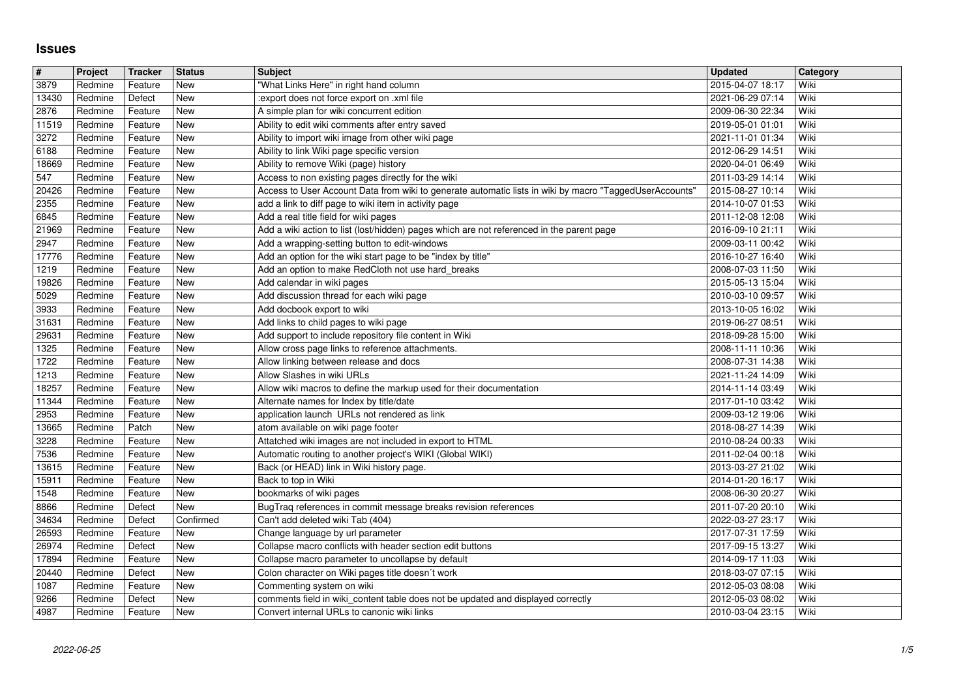## **Issues**

| $\vert \#$     | Project            | Tracker            | <b>Status</b>              | <b>Subject</b>                                                                                                                     | <b>Updated</b>                       | Category     |
|----------------|--------------------|--------------------|----------------------------|------------------------------------------------------------------------------------------------------------------------------------|--------------------------------------|--------------|
| 3879           | Redmine            | Feature            | New                        | "What Links Here" in right hand column                                                                                             | 2015-04-07 18:17                     | Wiki         |
| 13430<br>2876  | Redmine<br>Redmine | Defect<br>Feature  | <b>New</b><br>New          | :export does not force export on .xml file<br>A simple plan for wiki concurrent edition                                            | 2021-06-29 07:14<br>2009-06-30 22:34 | Wiki<br>Wiki |
| 11519          | Redmine            | Feature            | <b>New</b>                 | Ability to edit wiki comments after entry saved                                                                                    | 2019-05-01 01:01                     | Wiki         |
| 3272           | Redmine            | Feature            | New                        | Ability to import wiki image from other wiki page                                                                                  | 2021-11-01 01:34                     | Wiki         |
| 6188           | Redmine            | Feature            | <b>New</b>                 | Ability to link Wiki page specific version                                                                                         | 2012-06-29 14:51                     | Wiki         |
| 18669<br>547   | Redmine<br>Redmine | Feature<br>Feature | <b>New</b><br>New          | Ability to remove Wiki (page) history<br>Access to non existing pages directly for the wiki                                        | 2020-04-01 06:49<br>2011-03-29 14:14 | Wiki<br>Wiki |
| 20426          | Redmine            | Feature            | New                        | Access to User Account Data from wiki to generate automatic lists in wiki by macro "TaggedUserAccounts'                            | 2015-08-27 10:14                     | Wiki         |
| 2355           | Redmine            | Feature            | New                        | add a link to diff page to wiki item in activity page                                                                              | 2014-10-07 01:53                     | Wiki         |
| 6845<br>21969  | Redmine<br>Redmine | Feature<br>Feature | <b>New</b><br>New          | Add a real title field for wiki pages<br>Add a wiki action to list (lost/hidden) pages which are not referenced in the parent page | 2011-12-08 12:08<br>2016-09-10 21:11 | Wiki<br>Wiki |
| 2947           | Redmine            | Feature            | <b>New</b>                 | Add a wrapping-setting button to edit-windows                                                                                      | 2009-03-11 00:42                     | Wiki         |
| 17776          | Redmine            | Feature            | New                        | Add an option for the wiki start page to be "index by title"                                                                       | 2016-10-27 16:40                     | Wiki         |
| 1219<br>19826  | Redmine<br>Redmine | Feature<br>Feature | New<br>New                 | Add an option to make RedCloth not use hard_breaks<br>Add calendar in wiki pages                                                   | 2008-07-03 11:50<br>2015-05-13 15:04 | Wiki<br>Wiki |
| 5029           | Redmine            | Feature            | New                        | Add discussion thread for each wiki page                                                                                           | 2010-03-10 09:57                     | Wiki         |
| 3933           | Redmine            | Feature            | New                        | Add docbook export to wiki                                                                                                         | 2013-10-05 16:02                     | Wiki         |
| 31631<br>29631 | Redmine<br>Redmine | Feature<br>Feature | New<br>New                 | Add links to child pages to wiki page<br>Add support to include repository file content in Wiki                                    | 2019-06-27 08:51<br>2018-09-28 15:00 | Wiki<br>Wiki |
| 1325           | Redmine            | Feature            | New                        | Allow cross page links to reference attachments.                                                                                   | 2008-11-11 10:36                     | Wiki         |
| 1722<br>1213   | Redmine<br>Redmine | Feature<br>Feature | New<br>New                 | Allow linking between release and docs<br>Allow Slashes in wiki URLs                                                               | 2008-07-31 14:38<br>2021-11-24 14:09 | Wiki<br>Wiki |
| 18257          | Redmine            | Feature            | New                        | Allow wiki macros to define the markup used for their documentation                                                                | 2014-11-14 03:49                     | Wiki         |
| 11344          | Redmine            | Feature            | New                        | Alternate names for Index by title/date                                                                                            | 2017-01-10 03:42                     | Wiki         |
| 2953<br>13665  | Redmine<br>Redmine | Feature<br>Patch   | New<br>New                 | application launch URLs not rendered as link<br>atom available on wiki page footer                                                 | 2009-03-12 19:06<br>2018-08-27 14:39 | Wiki<br>Wiki |
| 3228           | Redmine            | Feature            | New                        | Attatched wiki images are not included in export to HTML                                                                           | 2010-08-24 00:33                     | Wiki         |
| 7536           | Redmine            | Feature            | New                        | Automatic routing to another project's WIKI (Global WIKI)                                                                          | 2011-02-04 00:18                     | Wiki         |
| 13615<br>15911 | Redmine<br>Redmine | Feature<br>Feature | New<br>New                 | Back (or HEAD) link in Wiki history page.<br>Back to top in Wiki                                                                   | 2013-03-27 21:02<br>2014-01-20 16:17 | Wiki<br>Wiki |
| 1548           | Redmine            | Feature            | New                        | bookmarks of wiki pages                                                                                                            | 2008-06-30 20:27                     | Wiki         |
| 8866           | Redmine            | Defect             | New                        | BugTraq references in commit message breaks revision references                                                                    | 2011-07-20 20:10                     | Wiki         |
| 34634<br>26593 | Redmine<br>Redmine | Defect<br>Feature  | Confirmed<br>New           | Can't add deleted wiki Tab (404)<br>Change language by url parameter                                                               | 2022-03-27 23:17<br>2017-07-31 17:59 | Wiki<br>Wiki |
| 26974          | Redmine            | Defect             | New                        | Collapse macro conflicts with header section edit buttons                                                                          | 2017-09-15 13:27                     | Wiki         |
| 17894          | Redmine            | Feature            | New                        | Collapse macro parameter to uncollapse by default                                                                                  | 2014-09-17 11:03                     | Wiki         |
| 20440<br>1087  | Redmine<br>Redmine | Defect<br>Feature  | New<br>$\sqrt{\text{New}}$ | Colon character on Wiki pages title doesn't work<br>Commenting system on wiki                                                      | 2018-03-07 07:15<br>2012-05-03 08:08 | Wiki<br>Wiki |
| 9266<br>4987   | Redmine<br>Redmine | Defect<br>Feature  | New<br>New                 | comments field in wiki_content table does not be updated and displayed correctly<br>Convert internal URLs to canonic wiki links    | 2012-05-03 08:02<br>2010-03-04 23:15 | Wiki<br>Wiki |
|                |                    |                    |                            |                                                                                                                                    |                                      |              |
|                |                    |                    |                            |                                                                                                                                    |                                      |              |
|                |                    |                    |                            |                                                                                                                                    |                                      |              |
|                |                    |                    |                            |                                                                                                                                    |                                      |              |
|                |                    |                    |                            |                                                                                                                                    |                                      |              |
|                |                    |                    |                            |                                                                                                                                    |                                      |              |
|                |                    |                    |                            |                                                                                                                                    |                                      |              |
|                |                    |                    |                            |                                                                                                                                    |                                      |              |
|                |                    |                    |                            |                                                                                                                                    |                                      |              |
|                |                    |                    |                            |                                                                                                                                    |                                      |              |
|                |                    |                    |                            |                                                                                                                                    |                                      |              |
|                |                    |                    |                            |                                                                                                                                    |                                      |              |
|                |                    |                    |                            |                                                                                                                                    |                                      |              |
|                |                    |                    |                            |                                                                                                                                    |                                      |              |
|                |                    |                    |                            |                                                                                                                                    |                                      |              |
|                |                    |                    |                            |                                                                                                                                    |                                      |              |
|                |                    |                    |                            |                                                                                                                                    |                                      |              |
|                |                    |                    |                            |                                                                                                                                    |                                      |              |
|                |                    |                    |                            |                                                                                                                                    |                                      |              |
|                |                    |                    |                            |                                                                                                                                    |                                      |              |
|                |                    |                    |                            |                                                                                                                                    |                                      |              |
|                |                    |                    |                            |                                                                                                                                    |                                      |              |
|                |                    |                    |                            |                                                                                                                                    |                                      |              |
|                |                    |                    |                            |                                                                                                                                    |                                      |              |
|                |                    |                    |                            |                                                                                                                                    |                                      |              |
|                |                    |                    |                            |                                                                                                                                    |                                      |              |
|                |                    |                    |                            |                                                                                                                                    |                                      |              |
|                |                    |                    |                            |                                                                                                                                    |                                      |              |
|                |                    |                    |                            |                                                                                                                                    |                                      |              |
|                |                    |                    |                            |                                                                                                                                    |                                      |              |
|                |                    |                    |                            |                                                                                                                                    |                                      |              |
|                |                    |                    |                            |                                                                                                                                    |                                      |              |
|                |                    |                    |                            |                                                                                                                                    |                                      |              |
|                |                    |                    |                            |                                                                                                                                    |                                      |              |
|                |                    |                    |                            |                                                                                                                                    |                                      |              |
|                |                    |                    |                            |                                                                                                                                    |                                      |              |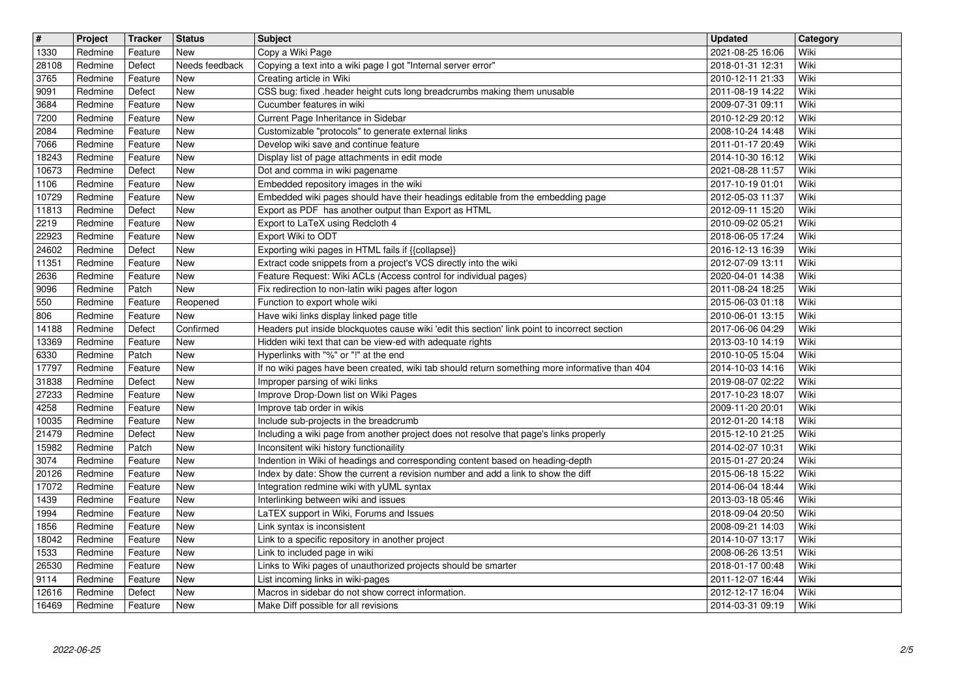| $\overline{\mathbf{H}}$<br>1330 | Project<br>Redmine | Tracker<br>Feature | <b>Status</b><br>New | <b>Subject</b><br>Copy a Wiki Page                                                                                                                                  | <b>Updated</b><br>2021-08-25 16:06   | Category<br>Wiki |
|---------------------------------|--------------------|--------------------|----------------------|---------------------------------------------------------------------------------------------------------------------------------------------------------------------|--------------------------------------|------------------|
| 28108                           | Redmine            | Defect             | Needs feedback       | Copying a text into a wiki page I got "Internal server error"                                                                                                       | 2018-01-31 12:31                     | Wiki             |
| 3765<br>9091                    | Redmine<br>Redmine | Feature<br>Defect  | New<br>New           | Creating article in Wiki<br>CSS bug: fixed .header height cuts long breadcrumbs making them unusable                                                                | 2010-12-11 21:33<br>2011-08-19 14:22 | Wiki<br>Wiki     |
| 3684                            | Redmine            | Feature            | New                  | Cucumber features in wiki                                                                                                                                           | 2009-07-31 09:11                     | Wiki             |
| 7200<br>2084                    | Redmine<br>Redmine | Feature<br>Feature | New<br>New           | Current Page Inheritance in Sidebar<br>Customizable "protocols" to generate external links                                                                          | 2010-12-29 20:12<br>2008-10-24 14:48 | Wiki<br>Wiki     |
| 7066<br>18243                   | Redmine<br>Redmine | Feature<br>Feature | New<br><b>New</b>    | Develop wiki save and continue feature<br>Display list of page attachments in edit mode                                                                             | 2011-01-17 20:49<br>2014-10-30 16:12 | Wiki<br>Wiki     |
| 10673                           | Redmine            | Defect             | New                  | Dot and comma in wiki pagename                                                                                                                                      | 2021-08-28 11:57                     | Wiki             |
| 1106<br>10729                   | Redmine<br>Redmine | Feature<br>Feature | New<br>New           | Embedded repository images in the wiki<br>Embedded wiki pages should have their headings editable from the embedding page                                           | 2017-10-19 01:01<br>2012-05-03 11:37 | Wiki<br>Wiki     |
| 11813                           | Redmine            | Defect             | New                  | Export as PDF has another output than Export as HTML                                                                                                                | 2012-09-11 15:20                     | Wiki             |
| 2219<br>22923                   | Redmine<br>Redmine | Feature<br>Feature | New<br>New           | Export to LaTeX using Redcloth 4<br>Export Wiki to ODT                                                                                                              | 2010-09-02 05:21<br>2018-06-05 17:24 | Wiki<br>Wiki     |
| 24602<br>11351                  | Redmine<br>Redmine | Defect<br>Feature  | New<br>New           | Exporting wiki pages in HTML fails if {{collapse}}<br>Extract code snippets from a project's VCS directly into the wiki                                             | 2016-12-13 16:39<br>2012-07-09 13:11 | Wiki<br>Wiki     |
| 2636                            | Redmine            | Feature            | New                  | Feature Request: Wiki ACLs (Access control for individual pages)                                                                                                    | 2020-04-01 14:38                     | Wiki             |
| 9096<br>550                     | Redmine<br>Redmine | Patch<br>Feature   | New<br>Reopened      | Fix redirection to non-latin wiki pages after logon<br>Function to export whole wiki                                                                                | 2011-08-24 18:25<br>2015-06-03 01:18 | Wiki<br>Wiki     |
| 806                             | Redmine            | Feature            | New<br>Confirmed     | Have wiki links display linked page title<br>Headers put inside blockquotes cause wiki 'edit this section' link point to incorrect section                          | 2010-06-01 13:15                     | Wiki<br>Wiki     |
| 14188<br>13369                  | Redmine<br>Redmine | Defect<br>Feature  | New                  | Hidden wiki text that can be view-ed with adequate rights                                                                                                           | 2017-06-06 04:29<br>2013-03-10 14:19 | Wiki             |
| 6330<br>17797                   | Redmine<br>Redmine | Patch<br>Feature   | New<br>New           | Hyperlinks with "%" or "!" at the end<br>If no wiki pages have been created, wiki tab should return something more informative than 404                             | 2010-10-05 15:04<br>2014-10-03 14:16 | Wiki<br>Wiki     |
| 31838                           | Redmine            | Defect             | New                  | Improper parsing of wiki links                                                                                                                                      | 2019-08-07 02:22                     | Wiki             |
| 27233<br>4258                   | Redmine<br>Redmine | Feature<br>Feature | New<br>New           | Improve Drop-Down list on Wiki Pages<br>Improve tab order in wikis                                                                                                  | 2017-10-23 18:07<br>2009-11-20 20:01 | Wiki<br>Wiki     |
| 10035<br>21479                  | Redmine<br>Redmine | Feature<br>Defect  | New<br><b>New</b>    | Include sub-projects in the breadcrumb<br>Including a wiki page from another project does not resolve that page's links properly                                    | 2012-01-20 14:18<br>2015-12-10 21:25 | Wiki<br>Wiki     |
| 15982                           | Redmine            | Patch              | New                  | Inconsitent wiki history functionaility                                                                                                                             | 2014-02-07 10:31                     | Wiki             |
| 3074<br>20126                   | Redmine<br>Redmine | Feature<br>Feature | New<br>New           | Indention in Wiki of headings and corresponding content based on heading-depth<br>Index by date: Show the current a revision number and add a link to show the diff | 2015-01-27 20:24<br>2015-06-18 15:22 | Wiki<br>Wiki     |
| 17072                           | Redmine            | Feature            | New                  | Integration redmine wiki with yUML syntax                                                                                                                           | 2014-06-04 18:44                     | Wiki             |
| 1439<br>1994                    | Redmine<br>Redmine | Feature<br>Feature | New<br>New           | Interlinking between wiki and issues<br>LaTEX support in Wiki, Forums and Issues                                                                                    | 2013-03-18 05:46<br>2018-09-04 20:50 | Wiki<br>Wiki     |
| 1856<br>18042                   | Redmine<br>Redmine | Feature<br>Feature | New<br>New           | Link syntax is inconsistent<br>Link to a specific repository in another project                                                                                     | 2008-09-21 14:03<br>2014-10-07 13:17 | Wiki<br>Wiki     |
| 1533                            | Redmine            | Feature            | New                  | Link to included page in wiki                                                                                                                                       | 2008-06-26 13:51                     | Wiki             |
| 26530<br>9114                   | Redmine<br>Redmine | Feature<br>Feature | New<br>New           | Links to Wiki pages of unauthorized projects should be smarter<br>List incoming links in wiki-pages                                                                 | 2018-01-17 00:48<br>2011-12-07 16:44 | Wiki<br>Wiki     |
| 12616<br>16469                  | Redmine<br>Redmine | Defect<br>Feature  | New<br>New           | Macros in sidebar do not show correct information.<br>Make Diff possible for all revisions                                                                          | 2012-12-17 16:04<br>2014-03-31 09:19 | Wiki<br>Wiki     |
|                                 |                    |                    |                      |                                                                                                                                                                     |                                      |                  |
|                                 |                    |                    |                      |                                                                                                                                                                     |                                      |                  |
|                                 |                    |                    |                      |                                                                                                                                                                     |                                      |                  |
|                                 |                    |                    |                      |                                                                                                                                                                     |                                      |                  |
|                                 |                    |                    |                      |                                                                                                                                                                     |                                      |                  |
|                                 |                    |                    |                      |                                                                                                                                                                     |                                      |                  |
|                                 |                    |                    |                      |                                                                                                                                                                     |                                      |                  |
|                                 |                    |                    |                      |                                                                                                                                                                     |                                      |                  |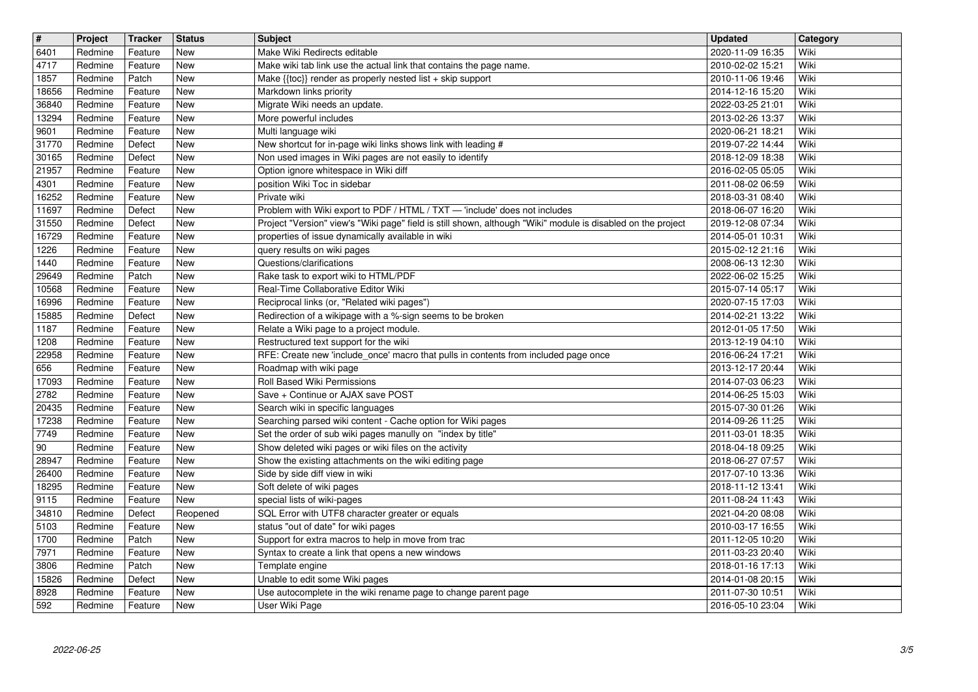| $\sqrt{t}$     | Project            | <b>Tracker</b>     | <b>Status</b> | <b>Subject</b>                                                                                                                                                    | <b>Updated</b>                       | <b>Category</b> |
|----------------|--------------------|--------------------|---------------|-------------------------------------------------------------------------------------------------------------------------------------------------------------------|--------------------------------------|-----------------|
| 6401<br>4717   | Redmine<br>Redmine | Feature<br>Feature | New<br>New    | Make Wiki Redirects editable<br>Make wiki tab link use the actual link that contains the page name.                                                               | 2020-11-09 16:35<br>2010-02-02 15:21 | Wiki<br>Wiki    |
| 1857           | Redmine            | Patch              | New           | Make {{toc}} render as properly nested list + skip support                                                                                                        | 2010-11-06 19:46                     | Wiki            |
| 18656          | Redmine            | Feature            | New           | Markdown links priority                                                                                                                                           | 2014-12-16 15:20                     | Wiki            |
| 36840<br>13294 | Redmine<br>Redmine | Feature<br>Feature | New<br>New    | Migrate Wiki needs an update.<br>More powerful includes                                                                                                           | 2022-03-25 21:01<br>2013-02-26 13:37 | Wiki<br>Wiki    |
| 9601           | Redmine            | Feature            | <b>New</b>    | Multi language wiki                                                                                                                                               | 2020-06-21 18:21                     | Wiki            |
| 31770<br>30165 | Redmine<br>Redmine | Defect<br>Defect   | New<br>New    | New shortcut for in-page wiki links shows link with leading #<br>Non used images in Wiki pages are not easily to identify                                         | 2019-07-22 14:44<br>2018-12-09 18:38 | Wiki<br>Wiki    |
| 21957          | Redmine            | Feature            | New           | Option ignore whitespace in Wiki diff                                                                                                                             | 2016-02-05 05:05                     | Wiki            |
| 4301<br>16252  | Redmine<br>Redmine | Feature<br>Feature | New<br>New    | position Wiki Toc in sidebar<br>Private wiki                                                                                                                      | 2011-08-02 06:59<br>2018-03-31 08:40 | Wiki<br>Wiki    |
| 11697          | Redmine            | Defect             | New           | Problem with Wiki export to PDF / HTML / TXT - 'include' does not includes                                                                                        | 2018-06-07 16:20                     | Wiki            |
| 31550<br>16729 | Redmine<br>Redmine | Defect<br>Feature  | New<br>New    | Project "Version" view's "Wiki page" field is still shown, although "Wiki" module is disabled on the project<br>properties of issue dynamically available in wiki | 2019-12-08 07:34<br>2014-05-01 10:31 | Wiki<br>Wiki    |
| 1226           | Redmine            | Feature            | New           | query results on wiki pages                                                                                                                                       | 2015-02-12 21:16                     | Wiki            |
| 1440<br>29649  | Redmine<br>Redmine | Feature<br>Patch   | New<br>New    | Questions/clarifications<br>Rake task to export wiki to HTML/PDF                                                                                                  | 2008-06-13 12:30<br>2022-06-02 15:25 | Wiki<br>Wiki    |
| 10568          | Redmine            | Feature            | New           | Real-Time Collaborative Editor Wiki                                                                                                                               | 2015-07-14 05:17                     | Wiki            |
| 16996<br>15885 | Redmine<br>Redmine | Feature<br>Defect  | New<br>New    | Reciprocal links (or, "Related wiki pages")<br>Redirection of a wikipage with a %-sign seems to be broken                                                         | 2020-07-15 17:03<br>2014-02-21 13:22 | Wiki<br>Wiki    |
| 1187           | Redmine            | Feature            | New           | Relate a Wiki page to a project module.                                                                                                                           | 2012-01-05 17:50                     | Wiki            |
| 1208           | Redmine            | Feature            | New           | Restructured text support for the wiki                                                                                                                            | 2013-12-19 04:10                     | Wiki            |
| 22958<br>656   | Redmine<br>Redmine | Feature<br>Feature | New<br>New    | RFE: Create new 'include_once' macro that pulls in contents from included page once<br>Roadmap with wiki page                                                     | 2016-06-24 17:21<br>2013-12-17 20:44 | Wiki<br>Wiki    |
| 17093          | Redmine            | Feature            | New           | Roll Based Wiki Permissions                                                                                                                                       | 2014-07-03 06:23                     | Wiki            |
| 2782<br>20435  | Redmine<br>Redmine | Feature<br>Feature | New<br>New    | Save + Continue or AJAX save POST<br>Search wiki in specific languages                                                                                            | 2014-06-25 15:03<br>2015-07-30 01:26 | Wiki<br>Wiki    |
| 17238          | Redmine            | Feature            | New           | Searching parsed wiki content - Cache option for Wiki pages                                                                                                       | 2014-09-26 11:25                     | Wiki            |
| 7749<br>$90\,$ | Redmine<br>Redmine | Feature<br>Feature | New<br>New    | Set the order of sub wiki pages manully on "index by title"<br>Show deleted wiki pages or wiki files on the activity                                              | 2011-03-01 18:35<br>2018-04-18 09:25 | Wiki<br>Wiki    |
| 28947          | Redmine            | Feature            | New           | Show the existing attachments on the wiki editing page                                                                                                            | 2018-06-27 07:57                     | Wiki            |
| 26400<br>18295 | Redmine<br>Redmine | Feature<br>Feature | New<br>New    | Side by side diff view in wiki<br>Soft delete of wiki pages                                                                                                       | 2017-07-10 13:36<br>2018-11-12 13:41 | Wiki<br>Wiki    |
| 9115           | Redmine            | Feature            | New           | special lists of wiki-pages                                                                                                                                       | 2011-08-24 11:43                     | Wiki            |
| 34810          | Redmine            | Defect             | Reopened      | SQL Error with UTF8 character greater or equals                                                                                                                   | 2021-04-20 08:08                     | Wiki            |
| 5103<br>1700   | Redmine<br>Redmine | Feature<br>Patch   | New<br>New    | status "out of date" for wiki pages<br>Support for extra macros to help in move from trac                                                                         | 2010-03-17 16:55<br>2011-12-05 10:20 | Wiki<br>Wiki    |
| 7971           | Redmine            | Feature            | New           | Syntax to create a link that opens a new windows                                                                                                                  | 2011-03-23 20:40                     | Wiki            |
| 3806<br>15826  | Redmine<br>Redmine | Patch<br>Defect    | New<br>New    | Template engine<br>Unable to edit some Wiki pages                                                                                                                 | 2018-01-16 17:13<br>2014-01-08 20:15 | Wiki<br>Wiki    |
| 8928<br>592    | Redmine<br>Redmine | Feature<br>Feature | New<br>New    | Use autocomplete in the wiki rename page to change parent page<br>User Wiki Page                                                                                  | 2011-07-30 10:51<br>2016-05-10 23:04 | Wiki<br>Wiki    |
|                |                    |                    |               |                                                                                                                                                                   |                                      |                 |
|                | 2022-06-25         |                    |               |                                                                                                                                                                   |                                      |                 |
|                |                    |                    |               |                                                                                                                                                                   |                                      |                 |
|                |                    |                    |               |                                                                                                                                                                   |                                      |                 |
|                |                    |                    |               |                                                                                                                                                                   |                                      |                 |
|                |                    |                    |               |                                                                                                                                                                   |                                      |                 |
|                |                    |                    |               |                                                                                                                                                                   |                                      |                 |
|                |                    |                    |               |                                                                                                                                                                   |                                      |                 |
|                |                    |                    |               |                                                                                                                                                                   |                                      |                 |
|                |                    |                    |               |                                                                                                                                                                   |                                      |                 |
|                |                    |                    |               |                                                                                                                                                                   |                                      |                 |
|                |                    |                    |               |                                                                                                                                                                   |                                      |                 |
|                |                    |                    |               |                                                                                                                                                                   |                                      |                 |
|                |                    |                    |               |                                                                                                                                                                   |                                      |                 |
|                |                    |                    |               |                                                                                                                                                                   |                                      |                 |
|                |                    |                    |               |                                                                                                                                                                   |                                      |                 |
|                |                    |                    |               |                                                                                                                                                                   |                                      |                 |
|                |                    |                    |               |                                                                                                                                                                   |                                      |                 |
|                |                    |                    |               |                                                                                                                                                                   |                                      |                 |
|                |                    |                    |               |                                                                                                                                                                   |                                      |                 |
|                |                    |                    |               |                                                                                                                                                                   |                                      |                 |
|                |                    |                    |               |                                                                                                                                                                   |                                      |                 |
|                |                    |                    |               |                                                                                                                                                                   |                                      |                 |
|                |                    |                    |               |                                                                                                                                                                   |                                      |                 |
|                |                    |                    |               |                                                                                                                                                                   |                                      |                 |
|                |                    |                    |               |                                                                                                                                                                   |                                      |                 |
|                |                    |                    |               |                                                                                                                                                                   |                                      |                 |
|                |                    |                    |               |                                                                                                                                                                   |                                      |                 |
|                |                    |                    |               |                                                                                                                                                                   |                                      |                 |
|                |                    |                    |               |                                                                                                                                                                   |                                      |                 |
|                |                    |                    |               |                                                                                                                                                                   |                                      |                 |
|                |                    |                    |               |                                                                                                                                                                   |                                      |                 |
|                |                    |                    |               |                                                                                                                                                                   |                                      |                 |
|                |                    |                    |               |                                                                                                                                                                   |                                      |                 |
|                |                    |                    |               |                                                                                                                                                                   |                                      |                 |
|                |                    |                    |               |                                                                                                                                                                   |                                      |                 |
|                |                    |                    |               |                                                                                                                                                                   |                                      |                 |
|                |                    |                    |               |                                                                                                                                                                   |                                      |                 |
|                |                    |                    |               |                                                                                                                                                                   |                                      |                 |
|                |                    |                    |               |                                                                                                                                                                   |                                      |                 |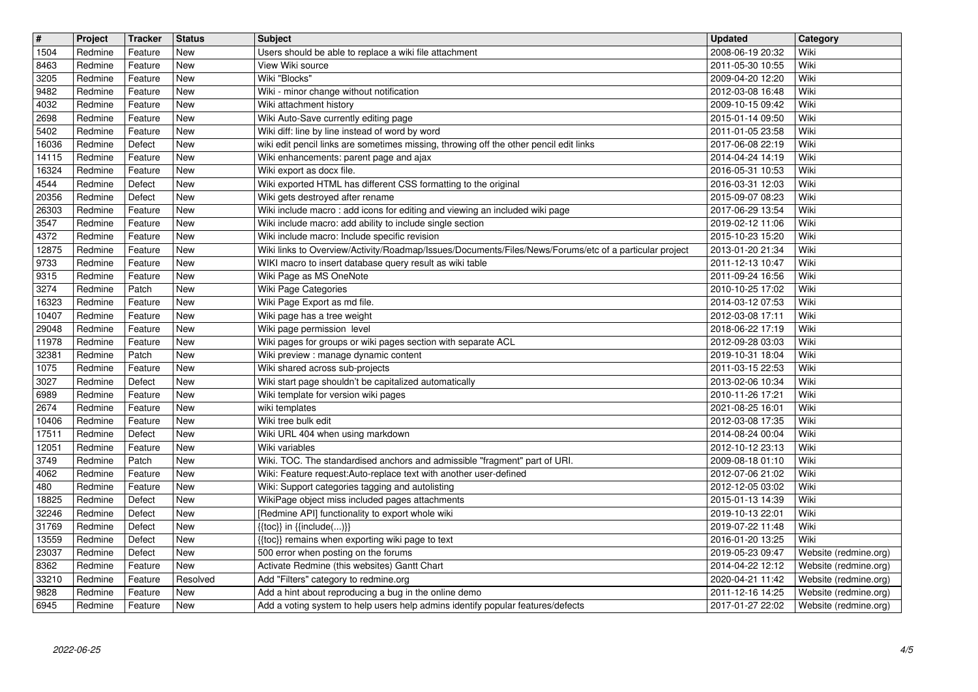| $\boxed{\texttt{#}}$ | Project            | <b>Tracker</b>     | <b>Status</b> | <b>Subject</b>                                                                                                                           | Updated                              | Category                                       |
|----------------------|--------------------|--------------------|---------------|------------------------------------------------------------------------------------------------------------------------------------------|--------------------------------------|------------------------------------------------|
| 1504                 | Redmine            | Feature            | New           | Users should be able to replace a wiki file attachment                                                                                   | 2008-06-19 20:32                     | Wiki                                           |
| 8463                 | Redmine            | Feature            | New           | View Wiki source                                                                                                                         | 2011-05-30 10:55                     | Wiki                                           |
| 3205<br>9482         | Redmine<br>Redmine | Feature<br>Feature | New<br>New    | Wiki "Blocks"<br>Wiki - minor change without notification                                                                                | 2009-04-20 12:20<br>2012-03-08 16:48 | Wiki<br>Wiki                                   |
| 4032                 | Redmine            | Feature            | New           | Wiki attachment history                                                                                                                  | 2009-10-15 09:42                     | Wiki                                           |
| 2698                 | Redmine            | Feature            | New           | Wiki Auto-Save currently editing page                                                                                                    | 2015-01-14 09:50                     | Wiki                                           |
| 5402                 | Redmine            | Feature            | New           | Wiki diff: line by line instead of word by word                                                                                          | 2011-01-05 23:58                     | Wiki                                           |
| 16036<br>14115       | Redmine<br>Redmine | Defect             | New<br>New    | wiki edit pencil links are sometimes missing, throwing off the other pencil edit links                                                   | 2017-06-08 22:19<br>2014-04-24 14:19 | Wiki<br>Wiki                                   |
| 16324                | Redmine            | Feature<br>Feature | New           | Wiki enhancements: parent page and ajax<br>Wiki export as docx file.                                                                     | 2016-05-31 10:53                     | Wiki                                           |
| 4544                 | Redmine            | Defect             | New           | Wiki exported HTML has different CSS formatting to the original                                                                          | 2016-03-31 12:03                     | Wiki                                           |
| 20356                | Redmine            | Defect             | New           | Wiki gets destroyed after rename                                                                                                         | 2015-09-07 08:23                     | Wiki                                           |
| 26303                | Redmine            | Feature            | New           | Wiki include macro: add icons for editing and viewing an included wiki page                                                              | 2017-06-29 13:54                     | Wiki                                           |
| 3547<br>4372         | Redmine<br>Redmine | Feature<br>Feature | New<br>New    | Wiki include macro: add ability to include single section<br>Wiki include macro: Include specific revision                               | 2019-02-12 11:06<br>2015-10-23 15:20 | Wiki<br>Wiki                                   |
| 12875                | Redmine            | Feature            | New           | Wiki links to Overview/Activity/Roadmap/Issues/Documents/Files/News/Forums/etc of a particular project                                   | 2013-01-20 21:34                     | Wiki                                           |
| 9733                 | Redmine            | Feature            | New           | WIKI macro to insert database query result as wiki table                                                                                 | 2011-12-13 10:47                     | Wiki                                           |
| 9315                 | Redmine            | Feature            | <b>New</b>    | Wiki Page as MS OneNote                                                                                                                  | 2011-09-24 16:56                     | Wiki<br>Wiki                                   |
| 3274<br>16323        | Redmine<br>Redmine | Patch<br>Feature   | New<br>New    | Wiki Page Categories<br>Wiki Page Export as md file.                                                                                     | 2010-10-25 17:02<br>2014-03-12 07:53 | Wiki                                           |
| 10407                | Redmine            | Feature            | New           | Wiki page has a tree weight                                                                                                              | 2012-03-08 17:11                     | Wiki                                           |
| 29048                | Redmine            | Feature            | New           | Wiki page permission level                                                                                                               | 2018-06-22 17:19                     | Wiki                                           |
| 11978<br>32381       | Redmine<br>Redmine | Feature<br>Patch   | New<br>New    | Wiki pages for groups or wiki pages section with separate ACL<br>Wiki preview : manage dynamic content                                   | 2012-09-28 03:03<br>2019-10-31 18:04 | Wiki<br>Wiki                                   |
| 1075                 | Redmine            | Feature            | New           | Wiki shared across sub-projects                                                                                                          | 2011-03-15 22:53                     | Wiki                                           |
| 3027                 | Redmine            | Defect             | New           | Wiki start page shouldn't be capitalized automatically                                                                                   | 2013-02-06 10:34                     | Wiki                                           |
| 6989                 | Redmine            | Feature            | <b>New</b>    | Wiki template for version wiki pages                                                                                                     | 2010-11-26 17:21                     | Wiki                                           |
| 2674<br>10406        | Redmine<br>Redmine | Feature<br>Feature | New<br>New    | wiki templates<br>Wiki tree bulk edit                                                                                                    | 2021-08-25 16:01<br>2012-03-08 17:35 | Wiki<br>Wiki                                   |
| 17511                | Redmine            | Defect             | New           | Wiki URL 404 when using markdown                                                                                                         | 2014-08-24 00:04                     | Wiki                                           |
| 12051                | Redmine            | Feature            | New           | Wiki variables                                                                                                                           | 2012-10-12 23:13                     | Wiki                                           |
| 3749                 | Redmine            | Patch              | New           | Wiki. TOC. The standardised anchors and admissible "fragment" part of URI.                                                               | 2009-08-18 01:10                     | Wiki                                           |
| 4062                 | Redmine            | Feature            | New           | Wiki: Feature request:Auto-replace text with another user-defined                                                                        | 2012-07-06 21:02                     | Wiki                                           |
| 480<br>18825         | Redmine<br>Redmine | Feature<br>Defect  | New<br>New    | Wiki: Support categories tagging and autolisting<br>WikiPage object miss included pages attachments                                      | 2012-12-05 03:02<br>2015-01-13 14:39 | Wiki<br>Wiki                                   |
| 32246                | Redmine            | Defect             | <b>New</b>    | [Redmine API] functionality to export whole wiki                                                                                         | 2019-10-13 22:01                     | Wiki                                           |
| 31769                | Redmine            | Defect             | New           | $\{\{\textsf{toc}\}\}\$ in $\{\{\textsf{include}()\}\}$                                                                                  | 2019-07-22 11:48                     | Wiki                                           |
| 13559                | Redmine            | Defect             | New           | {{toc}} remains when exporting wiki page to text                                                                                         | 2016-01-20 13:25                     | Wiki                                           |
| 23037<br>8362        | Redmine<br>Redmine | Defect<br>Feature  | New<br>New    | 500 error when posting on the forums<br>Activate Redmine (this websites) Gantt Chart                                                     | 2019-05-23 09:47<br>2014-04-22 12:12 | Website (redmine.org)<br>Website (redmine.org) |
| 33210                | Redmine            | Feature            | Resolved      | Add "Filters" category to redmine.org                                                                                                    | 2020-04-21 11:42                     | Website (redmine.org)                          |
| 9828<br>6945         | Redmine<br>Redmine | Feature<br>Feature | New<br>New    | Add a hint about reproducing a bug in the online demo<br>Add a voting system to help users help admins identify popular features/defects | 2011-12-16 14:25<br>2017-01-27 22:02 | Website (redmine.org)<br>Website (redmine.org) |
|                      |                    |                    |               |                                                                                                                                          |                                      |                                                |
|                      |                    |                    |               |                                                                                                                                          |                                      |                                                |
|                      |                    |                    |               |                                                                                                                                          |                                      |                                                |
|                      |                    |                    |               |                                                                                                                                          |                                      |                                                |
|                      |                    |                    |               |                                                                                                                                          |                                      |                                                |
|                      |                    |                    |               |                                                                                                                                          |                                      |                                                |
|                      |                    |                    |               |                                                                                                                                          |                                      |                                                |
|                      |                    |                    |               |                                                                                                                                          |                                      |                                                |
|                      |                    |                    |               |                                                                                                                                          |                                      |                                                |
|                      |                    |                    |               |                                                                                                                                          |                                      |                                                |
|                      |                    |                    |               |                                                                                                                                          |                                      |                                                |
|                      |                    |                    |               |                                                                                                                                          |                                      |                                                |
|                      |                    |                    |               |                                                                                                                                          |                                      |                                                |
|                      |                    |                    |               |                                                                                                                                          |                                      |                                                |
|                      |                    |                    |               |                                                                                                                                          |                                      |                                                |